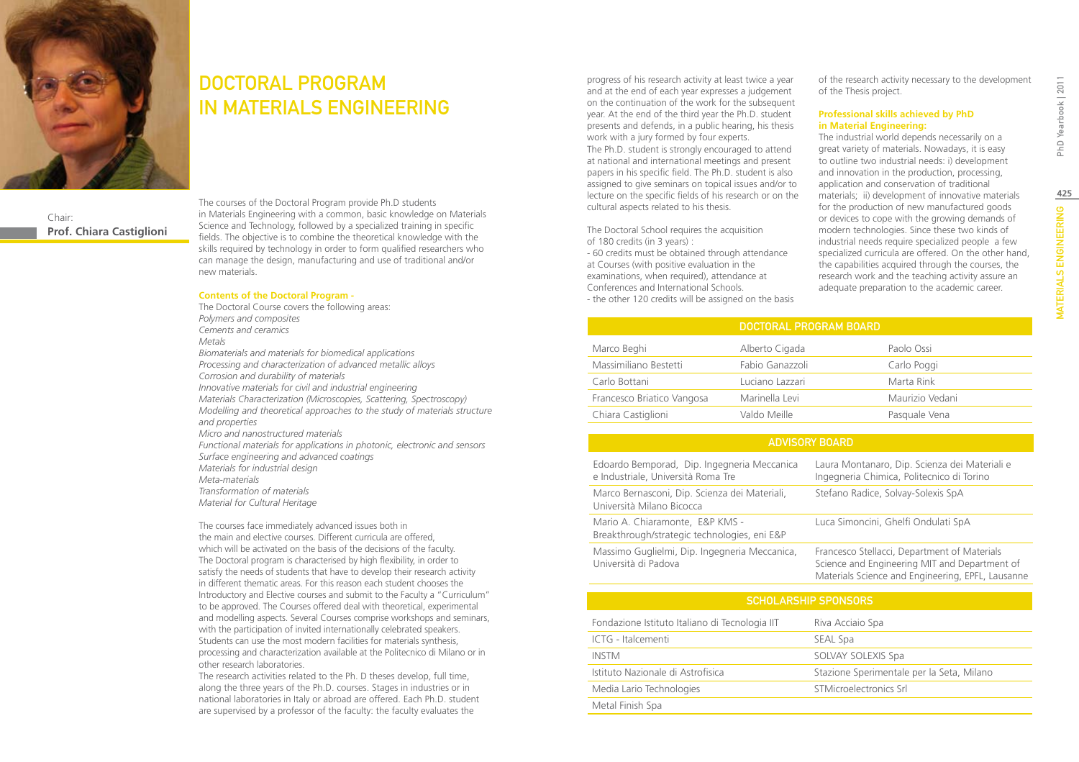

Chair: **Prof. Chiara Castiglioni**

### DOCTORAL PROGRAM IN MATERIALS ENGINEERING

The courses of the Doctoral Program provide Ph.D students in Materials Engineering with a common, basic knowledge on Materials Science and Technology, followed by a specialized training in specific fields. The objective is to combine the theoretical knowledge with the skills required by technology in order to form qualified researchers who can manage the design, manufacturing and use of traditional and/or new materials.

#### **Contents of the Doctoral Program -**

The Doctoral Course covers the following areas: *Polymers and composites Cements and ceramics Metals Biomaterials and materials for biomedical applications Processing and characterization of advanced metallic alloys Corrosion and durability of materials Innovative materials for civil and industrial engineering Materials Characterization (Microscopies, Scattering, Spectroscopy) Modelling and theoretical approaches to the study of materials structure and properties Micro and nanostructured materials Functional materials for applications in photonic, electronic and sensors Surface engineering and advanced coatings Materials for industrial design Meta-materials Transformation of materials Material for Cultural Heritage*

The courses face immediately advanced issues both in the main and elective courses. Different curricula are offered, which will be activated on the basis of the decisions of the faculty. The Doctoral program is characterised by high flexibility, in order to satisfy the needs of students that have to develop their research activity in different thematic areas. For this reason each student chooses the Introductory and Elective courses and submit to the Faculty a "Curriculum" to be approved. The Courses offered deal with theoretical, experimental and modelling aspects. Several Courses comprise workshops and seminars, with the participation of invited internationally celebrated speakers. Students can use the most modern facilities for materials synthesis, processing and characterization available at the Politecnico di Milano or in other research laboratories.

The research activities related to the Ph. D theses develop, full time, along the three years of the Ph.D. courses. Stages in industries or in national laboratories in Italy or abroad are offered. Each Ph.D. student are supervised by a professor of the faculty: the faculty evaluates the

progress of his research activity at least twice a year and at the end of each year expresses a judgement on the continuation of the work for the subsequent year. At the end of the third year the Ph.D. student presents and defends, in a public hearing, his thesis work with a jury formed by four experts.

The Ph.D. student is strongly encouraged to attend at national and international meetings and present papers in his specific field. The Ph.D. student is also assigned to give seminars on topical issues and/or to lecture on the specific fields of his research or on the cultural aspects related to his thesis.

The Doctoral School requires the acquisition of 180 credits (in 3 years) :

- 60 credits must be obtained through attendance at Courses (with positive evaluation in the examinations, when required), attendance at Conferences and International Schools. - the other 120 credits will be assigned on the basis

of the research activity necessary to the development of the Thesis project.

#### **Professional skills achieved by PhD in Material Engineering:**

The industrial world depends necessarily on a great variety of materials. Nowadays, it is easy to outline two industrial needs: i) development and innovation in the production, processing, application and conservation of traditional materials; ii) development of innovative materials for the production of new manufactured goods or devices to cope with the growing demands of modern technologies. Since these two kinds of industrial needs require specialized people a few specialized curricula are offered. On the other hand, the capabilities acquired through the courses, the research work and the teaching activity assure an adequate preparation to the academic career.

**425**MATERIALS ENGINEERING PhD Yearbook | 2011

**MATERIALS ENGINEERING** 

PhD Yearbook | 2011

|          |                 | DOCTORAL PROGRAM BOARD |  |  |
|----------|-----------------|------------------------|--|--|
|          | Alberto Cigada  | Paolo Ossi             |  |  |
| Bestetti | Fabio Ganazzoli | Carlo Pog              |  |  |

| Marco Beghi                | Alberto Cigada  | Paolo Ossi      |
|----------------------------|-----------------|-----------------|
| Massimiliano Bestetti      | Fabio Ganazzoli | Carlo Poggi     |
| Carlo Bottani              | Luciano Lazzari | Marta Rink      |
| Francesco Briatico Vangosa | Marinella Levi  | Maurizio Vedani |
| Chiara Castiglioni         | Valdo Meille    | Pasquale Vena   |

#### Advisory Board

| Edoardo Bemporad, Dip. Ingegneria Meccanica<br>e Industriale, Università Roma Tre | Laura Montanaro, Dip. Scienza dei Materiali e<br>Ingegneria Chimica, Politecnico di Torino                                                         |
|-----------------------------------------------------------------------------------|----------------------------------------------------------------------------------------------------------------------------------------------------|
| Marco Bernasconi, Dip. Scienza dei Materiali,<br>Università Milano Bicocca        | Stefano Radice, Solvay-Solexis SpA                                                                                                                 |
| Mario A. Chiaramonte, E&P KMS -<br>Breakthrough/strategic technologies, eni E&P   | Luca Simoncini, Ghelfi Ondulati SpA                                                                                                                |
| Massimo Guglielmi, Dip. Ingegneria Meccanica,<br>Università di Padova             | Francesco Stellacci, Department of Materials<br>Science and Engineering MIT and Department of<br>Materials Science and Engineering, EPFL, Lausanne |

| <b>SCHOLARSHIP SPONSORS</b>               |  |  |  |  |  |
|-------------------------------------------|--|--|--|--|--|
| Riva Acciaio Spa                          |  |  |  |  |  |
| SEAL Spa                                  |  |  |  |  |  |
| SOLVAY SOLEXIS Spa                        |  |  |  |  |  |
| Stazione Sperimentale per la Seta, Milano |  |  |  |  |  |
| STMicroelectronics Srl                    |  |  |  |  |  |
|                                           |  |  |  |  |  |
|                                           |  |  |  |  |  |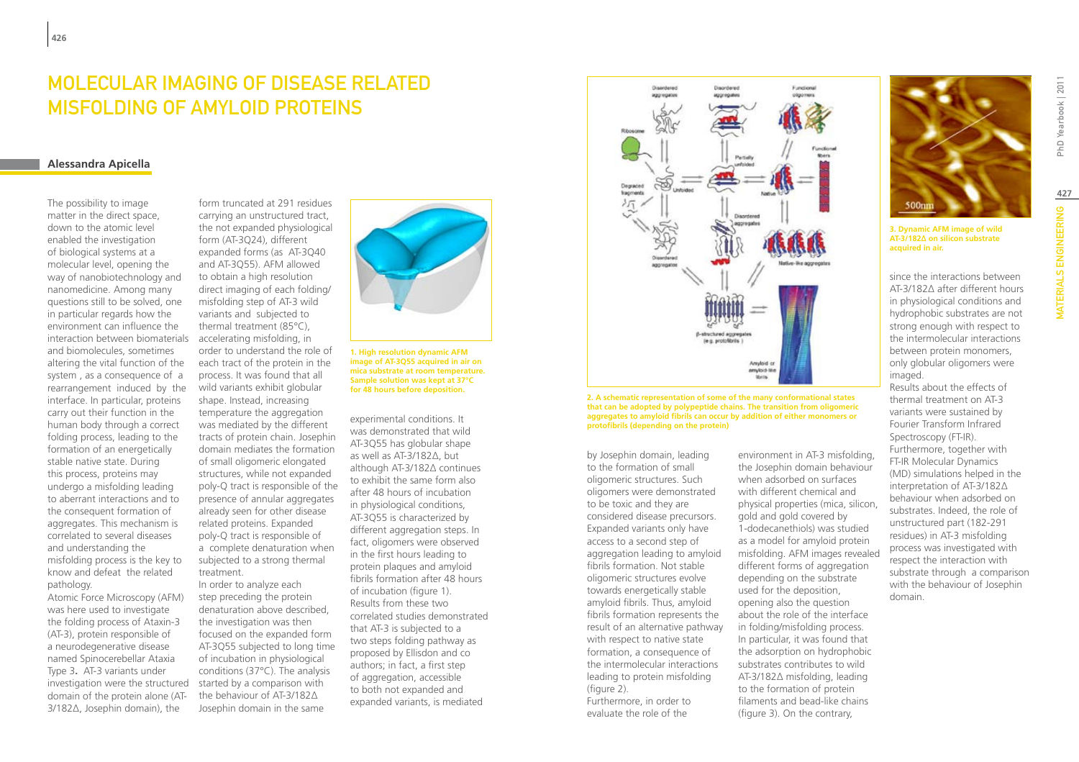### MOLECULAR IMAGING OF DISEASE RELATED misfolding of amyloid proteins

#### **Alessandra Apicella**

The possibility to image matter in the direct space, down to the atomic level enabled the investigation of biological systems at a molecular level, opening the way of nanobiotechnology and nanomedicine. Among many questions still to be solved, one in particular regards how the environment can influence the interaction between biomaterials and biomolecules, sometimes altering the vital function of the system , as a consequence of a rearrangement induced by the interface. In particular, proteins carry out their function in the human body through a correct folding process, leading to the formation of an energetically stable native state. During this process, proteins may undergo a misfolding leading to aberrant interactions and to the consequent formation of aggregates. This mechanism is correlated to several diseases and understanding the misfolding process is the key to know and defeat the related pathology.

Atomic Force Microscopy (AFM) was here used to investigate the folding process of Ataxin-3 (AT-3), protein responsible of a neurodegenerative disease named Spinocerebellar Ataxia Type 3**.** AT-3 variants under investigation were the structured domain of the protein alone (AT-3/182Δ, Josephin domain), the

form truncated at 291 residues carrying an unstructured tract, the not expanded physiological form (AT-3Q24), different expanded forms (as AT-3Q40 and AT-3Q55). AFM allowed to obtain a high resolution direct imaging of each folding/ misfolding step of AT-3 wild variants and subjected to thermal treatment (85°C), accelerating misfolding, in order to understand the role of each tract of the protein in the process. It was found that all wild variants exhibit globular shape. Instead, increasing temperature the aggregation was mediated by the different tracts of protein chain. Josephin domain mediates the formation of small oligomeric elongated structures, while not expanded poly-Q tract is responsible of the presence of annular aggregates already seen for other disease related proteins. Expanded poly-Q tract is responsible of a complete denaturation when subjected to a strong thermal treatment.

In order to analyze each step preceding the protein denaturation above described, the investigation was then focused on the expanded form AT-3Q55 subjected to long time of incubation in physiological conditions (37°C). The analysis started by a comparison with the behaviour of AT-3/182Δ Josephin domain in the same



**1. High resolution dynamic AFM image of AT-3Q55 acquired in air on mica substrate at room temperature. Sample solution was kept at 37°C for 48 hours before deposition.**

experimental conditions. It was demonstrated that wild AT-3Q55 has globular shape as well as AT-3/182Δ, but although AT-3/182Δ continues to exhibit the same form also after 48 hours of incubation in physiological conditions, AT-3Q55 is characterized by different aggregation steps. In fact, oligomers were observed in the first hours leading to protein plaques and amyloid fibrils formation after 48 hours of incubation (figure 1). Results from these two correlated studies demonstrated that AT-3 is subjected to a two steps folding pathway as proposed by Ellisdon and co authors; in fact, a first step of aggregation, accessible to both not expanded and expanded variants, is mediated



**2. A schematic representation of some of the many conformational states that can be adopted by polypeptide chains. The transition from oligomeric aggregates to amyloid fibrils can occur by addition of either monomers or protofibrils (depending on the protein)**

by Josephin domain, leading to the formation of small oligomeric structures. Such oligomers were demonstrated to be toxic and they are considered disease precursors. Expanded variants only have access to a second step of aggregation leading to amyloid fibrils formation. Not stable oligomeric structures evolve towards energetically stable amyloid fibrils. Thus, amyloid fibrils formation represents the result of an alternative pathway with respect to native state formation, a consequence of the intermolecular interactions leading to protein misfolding (figure 2). Furthermore, in order to

evaluate the role of the

environment in AT-3 misfolding, the Josephin domain behaviour when adsorbed on surfaces with different chemical and physical properties (mica, silicon, gold and gold covered by 1-dodecanethiols) was studied as a model for amyloid protein misfolding. AFM images revealed different forms of aggregation depending on the substrate used for the deposition, opening also the question about the role of the interface in folding/misfolding process. In particular, it was found that the adsorption on hydrophobic substrates contributes to wild AT-3/182Δ misfolding, leading to the formation of protein filaments and bead-like chains (figure 3). On the contrary,



since the interactions between AT-3/182Δ after different hours in physiological conditions and hydrophobic substrates are not strong enough with respect to the intermolecular interactions between protein monomers, only globular oligomers were imaged.

Results about the effects of thermal treatment on AT-3 variants were sustained by Fourier Transform Infrared Spectroscopy (FT-IR). Furthermore, together with FT-IR Molecular Dynamics (MD) simulations helped in the interpretation of AT-3/182Δ behaviour when adsorbed on substrates. Indeed, the role of unstructured part (182-291 residues) in AT-3 misfolding process was investigated with respect the interaction with substrate through a comparison with the behaviour of Josephin domain.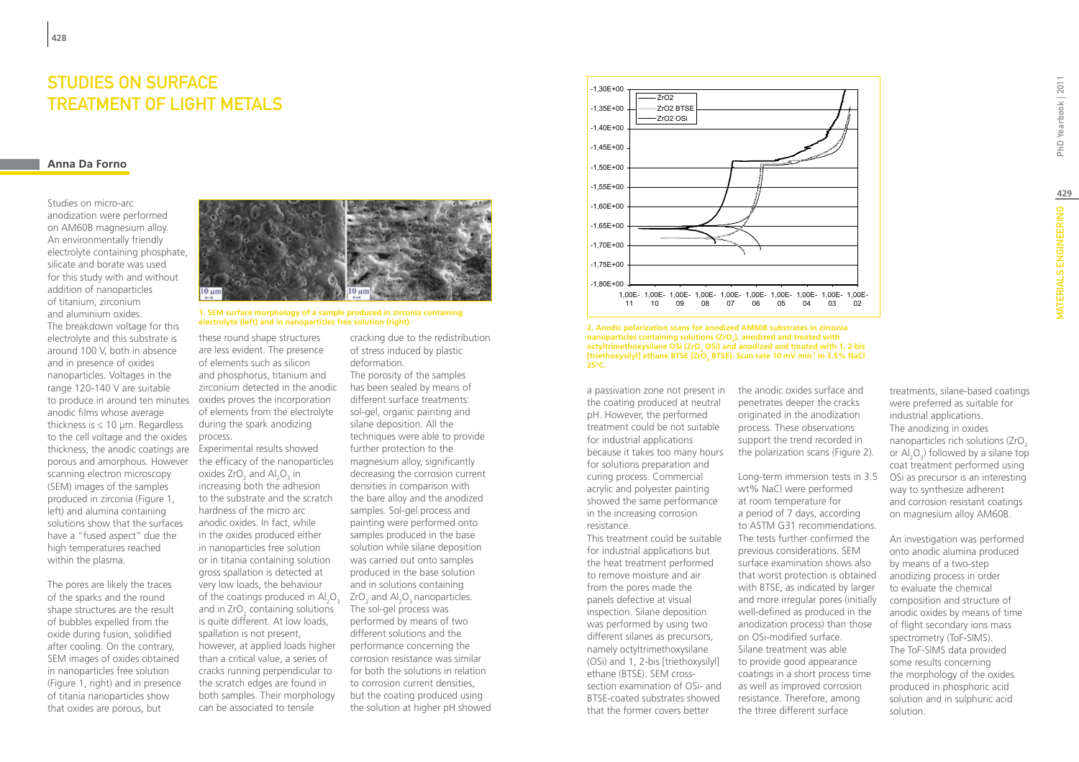### Studies on surface treatment of light metals

### **Anna Da Forno**

Studies on micro-arc anodization were performed on AM60B magnesium alloy. An environmentally friendly electrolyte containing phosphate, silicate and borate was used for this study with and without addition of nanoparticles of titanium, zirconium and aluminium oxides. The breakdown voltage for this electrolyte and this substrate is around 100 V, both in absence and in presence of oxides nanoparticles. Voltages in the range 120-140 V are suitable to produce in around ten minutes oxides proves the incorporation anodic films whose average thickness is  $\leq 10$  µm. Regardless to the cell voltage and the oxides thickness, the anodic coatings are porous and amorphous. However scanning electron microscopy (SEM) images of the samples produced in zirconia (Figure 1, left) and alumina containing solutions show that the surfaces have a "fused aspect" due the high temperatures reached within the plasma.

The pores are likely the traces of the sparks and the round shape structures are the result of bubbles expelled from the oxide during fusion, solidified after cooling. On the contrary, SEM images of oxides obtained in nanoparticles free solution (Figure 1, right) and in presence of titania nanoparticles show that oxides are porous, but



# **1. SEM surface morphology of a sample produced in zirconia containing**

these round shape structures are less evident. The presence of elements such as silicon and phosphorus, titanium and zirconium detected in the anodic of elements from the electrolyte during the spark anodizing process.

of the coatings produced in  $\text{Al}_2\text{O}_3$  ZrO<sub>2</sub> and  $\text{Al}_2\text{O}_3$  nanoparticles. Experimental results showed the efficacy of the nanoparticles oxides  $ZrO_2$  and  $Al_2O_3$  in increasing both the adhesion to the substrate and the scratch hardness of the micro arc anodic oxides. In fact, while in the oxides produced either in nanoparticles free solution or in titania containing solution gross spallation is detected at very low loads, the behaviour and in  $ZrO<sub>2</sub>$  containing solutions is quite different. At low loads, spallation is not present, however, at applied loads higher than a critical value, a series of cracks running perpendicular to the scratch edges are found in both samples. Their morphology can be associated to tensile

cracking due to the redistribution of stress induced by plastic deformation. The porosity of the samples has been sealed by means of different surface treatments: sol-gel, organic painting and silane deposition. All the techniques were able to provide further protection to the magnesium alloy, significantly decreasing the corrosion current densities in comparison with the bare alloy and the anodized samples. Sol-gel process and painting were performed onto samples produced in the base solution while silane deposition was carried out onto samples produced in the base solution

and in solutions containing The sol-gel process was performed by means of two different solutions and the performance concerning the corrosion resistance was similar for both the solutions in relation to corrosion current densities, but the coating produced using the solution at higher pH showed



**electrolyte (left) and in nanoparticles free solution (right). 2. Anodic polarization scans for anodized AM60B substrates in zirconia nanoparticles containing solutions (ZrO<sub>2</sub>), anodized and treated with** octyltrimethoxysilane OSi (ZrO<sub>2</sub> OSi) and anodized and treated with 1, 2-bis [triethoxysilyl] ethane BTSE (ZrO<sub>2</sub> BTSE). Scan rate 10 mV min<sup>-1</sup> in 3.5% NaCl **25°C.**

a passivation zone not present in the coating produced at neutral pH. However, the performed treatment could be not suitable for industrial applications because it takes too many hours for solutions preparation and curing process. Commercial acrylic and polyester painting showed the same performance in the increasing corrosion resistance.

This treatment could be suitable for industrial applications but the heat treatment performed to remove moisture and air from the pores made the panels defective at visual inspection. Silane deposition was performed by using two different silanes as precursors, namely octyltrimethoxysilane (OSi) and 1, 2-bis [triethoxysilyl] ethane (BTSE). SEM crosssection examination of OSi- and BTSE-coated substrates showed that the former covers better

the anodic oxides surface and penetrates deeper the cracks originated in the anodization process. These observations support the trend recorded in the polarization scans (Figure 2).

Long-term immersion tests in 3.5 wt% NaCl were performed at room temperature for a period of 7 days, according to ASTM G31 recommendations. The tests further confirmed the previous considerations. SEM surface examination shows also that worst protection is obtained with BTSE, as indicated by larger and more irregular pores (initially well-defined as produced in the anodization process) than those on OSi-modified surface. Silane treatment was able to provide good appearance coatings in a short process time as well as improved corrosion resistance. Therefore, among the three different surface

treatments, silane-based coatings were preferred as suitable for industrial applications. The anodizing in oxides nanoparticles rich solutions (ZrO<sub>2</sub>) or  $\text{Al}_2\text{O}_3$ ) followed by a silane top coat treatment performed using OSi as precursor is an interesting way to synthesize adherent and corrosion resistant coatings

An investigation was performed onto anodic alumina produced by means of a two-step anodizing process in order to evaluate the chemical composition and structure of anodic oxides by means of time of flight secondary ions mass spectrometry (ToF-SIMS). The ToF-SIMS data provided some results concerning the morphology of the oxides produced in phosphoric acid solution and in sulphuric acid solution.

on magnesium alloy AM60B.

**429**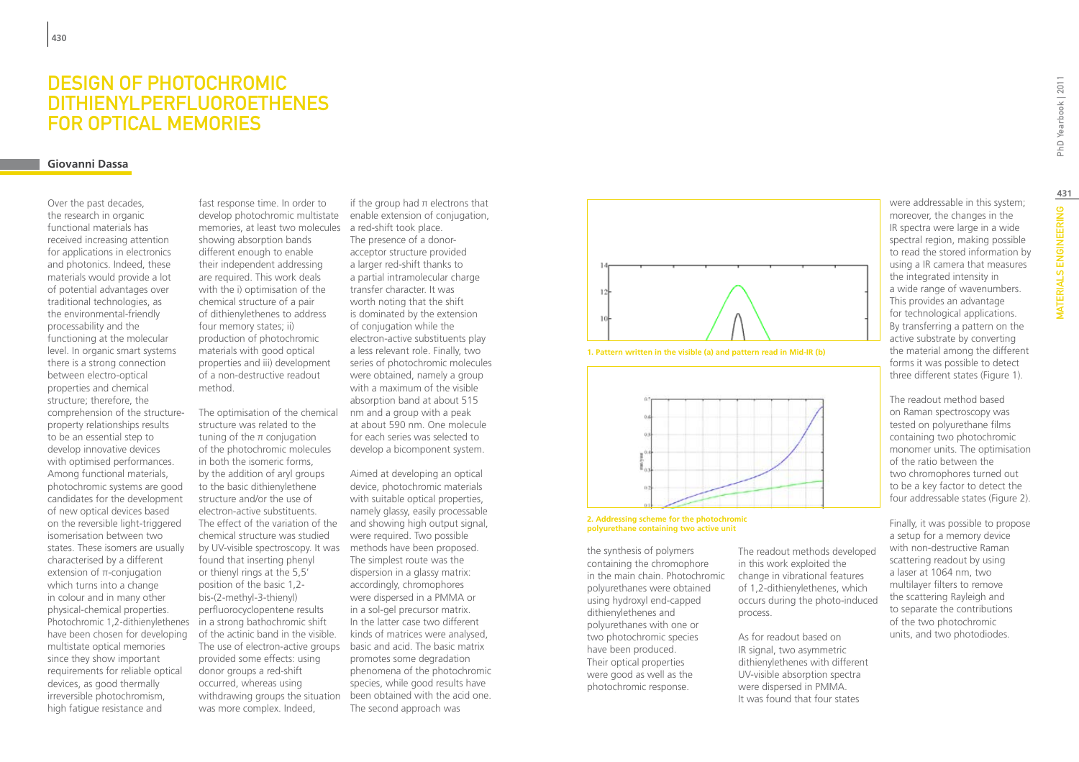### Design of Photochromic Dithienylperfluoroethenes for Optical Memories

### **Giovanni Dassa**

Over the past decades, the research in organic functional materials has received increasing attention for applications in electronics and photonics. Indeed, these materials would provide a lot of potential advantages over traditional technologies, as the environmental-friendly processability and the functioning at the molecular level. In organic smart systems there is a strong connection between electro-optical properties and chemical structure; therefore, the comprehension of the structureproperty relationships results to be an essential step to develop innovative devices with optimised performances. Among functional materials, photochromic systems are good candidates for the development of new optical devices based on the reversible light-triggered isomerisation between two states. These isomers are usually characterised by a different extension of  $\pi$ -conjugation which turns into a change in colour and in many other physical-chemical properties. Photochromic 1,2-dithienylethenes have been chosen for developing multistate optical memories since they show important requirements for reliable optical devices, as good thermally irreversible photochromism, high fatigue resistance and

memories, at least two molecules a red-shift took place. fast response time. In order to develop photochromic multistate showing absorption bands different enough to enable their independent addressing are required. This work deals with the i) optimisation of the chemical structure of a pair of dithienylethenes to address four memory states; ii) production of photochromic materials with good optical properties and iii) development of a non-destructive readout method.

The use of electron-active groups basic and acid. The basic matrix withdrawing groups the situation been obtained with the acid one. The optimisation of the chemical structure was related to the tuning of the π conjugation of the photochromic molecules in both the isomeric forms, by the addition of aryl groups to the basic dithienylethene structure and/or the use of electron-active substituents. The effect of the variation of the chemical structure was studied by UV-visible spectroscopy. It was found that inserting phenyl or thienyl rings at the 5,5' position of the basic 1,2 bis-(2-methyl-3-thienyl) perfluorocyclopentene results in a strong bathochromic shift of the actinic band in the visible. provided some effects: using donor groups a red-shift occurred, whereas using was more complex. Indeed,

if the group had  $\pi$  electrons that enable extension of conjugation,

The presence of a donoracceptor structure provided a larger red-shift thanks to a partial intramolecular charge transfer character. It was worth noting that the shift is dominated by the extension of conjugation while the electron-active substituents play a less relevant role. Finally, two series of photochromic molecules were obtained, namely a group with a maximum of the visible absorption band at about 515 nm and a group with a peak at about 590 nm. One molecule for each series was selected to develop a bicomponent system.

Aimed at developing an optical device, photochromic materials with suitable optical properties, namely glassy, easily processable and showing high output signal, were required. Two possible methods have been proposed. The simplest route was the dispersion in a glassy matrix: accordingly, chromophores were dispersed in a PMMA or in a sol-gel precursor matrix. In the latter case two different kinds of matrices were analysed, promotes some degradation phenomena of the photochromic species, while good results have The second approach was



**1. Pattern written in the visible (a) and pattern read in Mid-IR (b)**



#### **2. Addressing scheme for the photochromic polyurethane containing two active unit**

the synthesis of polymers containing the chromophore in the main chain. Photochromic polyurethanes were obtained using hydroxyl end-capped dithienylethenes and polyurethanes with one or two photochromic species have been produced. Their optical properties were good as well as the photochromic response.

The readout methods developed in this work exploited the change in vibrational features of 1,2-dithienylethenes, which occurs during the photo-induced process.

As for readout based on IR signal, two asymmetric dithienylethenes with different UV-visible absorption spectra were dispersed in PMMA. It was found that four states

were addressable in this system; moreover, the changes in the IR spectra were large in a wide spectral region, making possible to read the stored information by using a IR camera that measures the integrated intensity in a wide range of wavenumbers. This provides an advantage for technological applications. By transferring a pattern on the active substrate by converting the material among the different forms it was possible to detect three different states (Figure 1).

The readout method based on Raman spectroscopy was tested on polyurethane films containing two photochromic monomer units. The optimisation of the ratio between the two chromophores turned out to be a key factor to detect the four addressable states (Figure 2).

Finally, it was possible to propose a setup for a memory device with non-destructive Raman scattering readout by using a laser at 1064 nm, two multilayer filters to remove the scattering Rayleigh and to separate the contributions of the two photochromic units, and two photodiodes.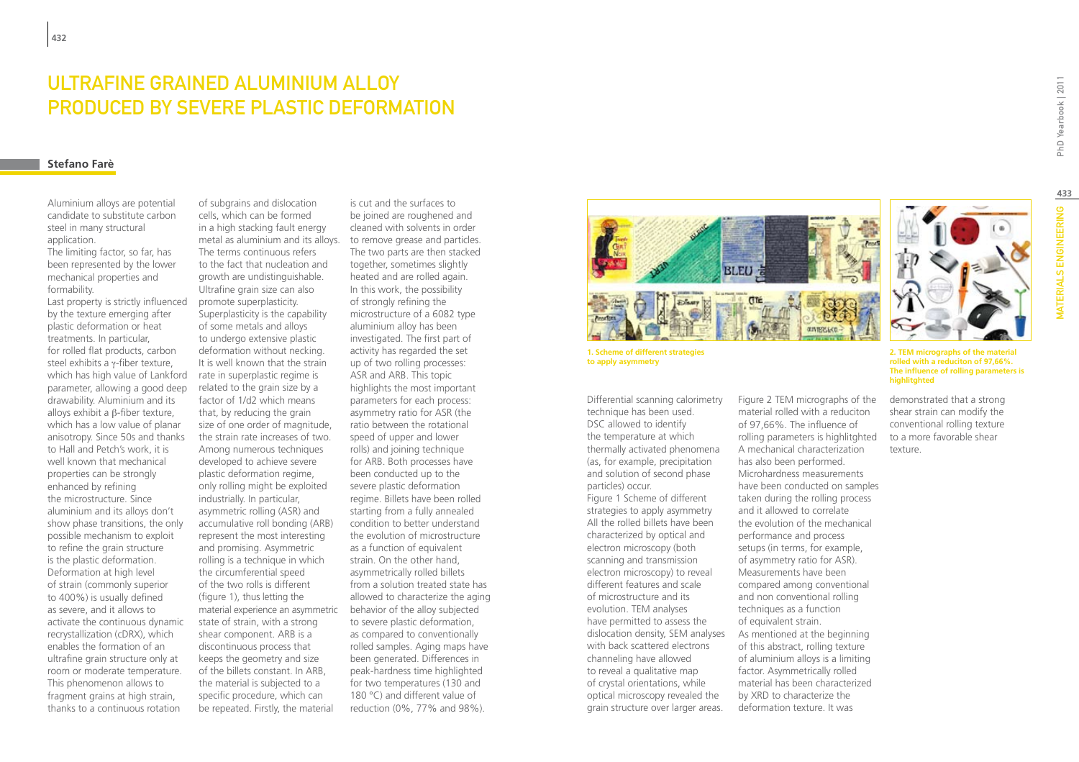### Ultrafine Grained Aluminium alloy produced by Severe Plastic Deformation

#### **Stefano Farè**

Aluminium alloys are potential candidate to substitute carbon steel in many structural application.

The limiting factor, so far, has been represented by the lower mechanical properties and formability.

Last property is strictly influenced by the texture emerging after plastic deformation or heat treatments. In particular, for rolled flat products, carbon steel exhibits a γ-fiber texture, which has high value of Lankford parameter, allowing a good deep drawability. Aluminium and its alloys exhibit a β-fiber texture, which has a low value of planar anisotropy. Since 50s and thanks to Hall and Petch's work, it is well known that mechanical properties can be strongly enhanced by refining the microstructure. Since aluminium and its alloys don't show phase transitions, the only possible mechanism to exploit to refine the grain structure is the plastic deformation. Deformation at high level of strain (commonly superior to 400%) is usually defined as severe, and it allows to activate the continuous dynamic recrystallization (cDRX), which enables the formation of an ultrafine grain structure only at room or moderate temperature. This phenomenon allows to fragment grains at high strain, thanks to a continuous rotation

of subgrains and dislocation cells, which can be formed in a high stacking fault energy metal as aluminium and its alloys. The terms continuous refers to the fact that nucleation and growth are undistinguishable. Ultrafine grain size can also promote superplasticity. Superplasticity is the capability of some metals and alloys to undergo extensive plastic deformation without necking. It is well known that the strain rate in superplastic regime is related to the grain size by a factor of 1/d2 which means that, by reducing the grain size of one order of magnitude, the strain rate increases of two. Among numerous techniques developed to achieve severe plastic deformation regime, only rolling might be exploited industrially. In particular, asymmetric rolling (ASR) and accumulative roll bonding (ARB) represent the most interesting and promising. Asymmetric rolling is a technique in which the circumferential speed of the two rolls is different (figure 1), thus letting the material experience an asymmetric state of strain, with a strong shear component. ARB is a discontinuous process that keeps the geometry and size of the billets constant. In ARB, the material is subjected to a specific procedure, which can be repeated. Firstly, the material

is cut and the surfaces to be joined are roughened and cleaned with solvents in order to remove grease and particles. The two parts are then stacked together, sometimes slightly heated and are rolled again. In this work, the possibility of strongly refining the microstructure of a 6082 type aluminium alloy has been investigated. The first part of activity has regarded the set up of two rolling processes: ASR and ARB. This topic highlights the most important parameters for each process: asymmetry ratio for ASR (the ratio between the rotational speed of upper and lower rolls) and joining technique for ARB. Both processes have been conducted up to the severe plastic deformation regime. Billets have been rolled starting from a fully annealed condition to better understand the evolution of microstructure as a function of equivalent strain. On the other hand, asymmetrically rolled billets from a solution treated state has allowed to characterize the aging behavior of the alloy subjected to severe plastic deformation, as compared to conventionally rolled samples. Aging maps have been generated. Differences in peak-hardness time highlighted for two temperatures (130 and 180 °C) and different value of reduction (0%, 77% and 98%).



**1. Scheme of different strategies to apply asymmetry**

Differential scanning calorimetry technique has been used. DSC allowed to identify the temperature at which thermally activated phenomena (as, for example, precipitation and solution of second phase particles) occur. Figure 1 Scheme of different strategies to apply asymmetry All the rolled billets have been characterized by optical and electron microscopy (both scanning and transmission electron microscopy) to reveal different features and scale of microstructure and its evolution. TEM analyses have permitted to assess the dislocation density, SEM analyses with back scattered electrons channeling have allowed to reveal a qualitative map of crystal orientations, while optical microscopy revealed the grain structure over larger areas.

Figure 2 TEM micrographs of the material rolled with a reduciton of 97,66%. The influence of rolling parameters is highlitghted A mechanical characterization has also been performed. Microhardness measurements have been conducted on samples taken during the rolling process and it allowed to correlate the evolution of the mechanical performance and process setups (in terms, for example, of asymmetry ratio for ASR). Measurements have been compared among conventional and non conventional rolling techniques as a function of equivalent strain. As mentioned at the beginning of this abstract, rolling texture of aluminium alloys is a limiting factor. Asymmetrically rolled material has been characterized by XRD to characterize the

deformation texture. It was



**2. TEM micrographs of the material rolled with a reduciton of 97,66%. The influence of rolling parameters is highlitghted**

demonstrated that a strong shear strain can modify the conventional rolling texture to a more favorable shear texture.

PhD Yearbook | 2011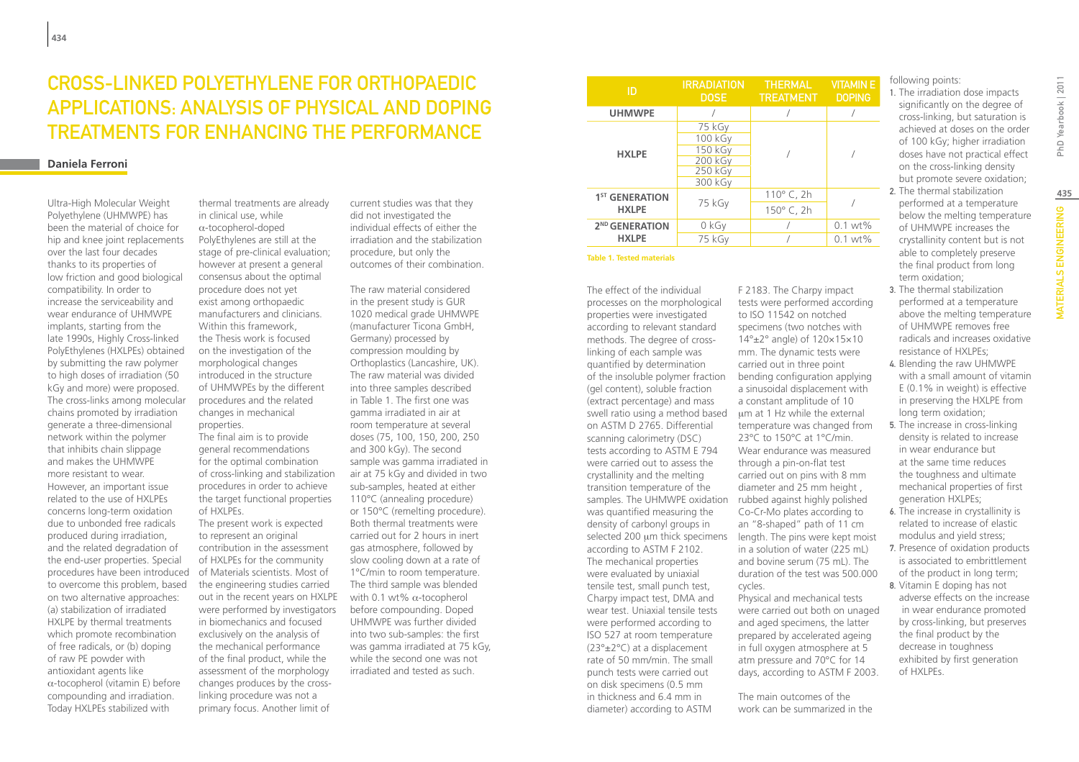# Cross-linked Polyethylene for Orthopaedic Applications: Analysis of Physical and Doping Treatments for Enhancing the Performance

### **Daniela Ferroni**

Ultra-High Molecular Weight Polyethylene (UHMWPE) has been the material of choice for hip and knee joint replacements over the last four decades thanks to its properties of low friction and good biological compatibility. In order to increase the serviceability and wear endurance of UHMWPE implants, starting from the late 1990s, Highly Cross-linked PolyEthylenes (HXLPEs) obtained by submitting the raw polymer to high doses of irradiation (50 kGy and more) were proposed. The cross-links among molecular chains promoted by irradiation generate a three-dimensional network within the polymer that inhibits chain slippage and makes the UHMWPE more resistant to wear. However, an important issue related to the use of HXLPEs concerns long-term oxidation due to unbonded free radicals produced during irradiation, and the related degradation of the end-user properties. Special procedures have been introduced to overcome this problem, based on two alternative approaches: (a) stabilization of irradiated HXLPE by thermal treatments which promote recombination of free radicals, or (b) doping of raw PE powder with antioxidant agents like α-tocopherol (vitamin E) before compounding and irradiation. Today HXLPEs stabilized with

thermal treatments are already in clinical use, while α-tocopherol-doped PolyEthylenes are still at the stage of pre-clinical evaluation; however at present a general consensus about the optimal procedure does not yet exist among orthopaedic manufacturers and clinicians. Within this framework, the Thesis work is focused on the investigation of the morphological changes introduced in the structure of UHMWPEs by the different procedures and the related changes in mechanical properties.

The final aim is to provide general recommendations for the optimal combination of cross-linking and stabilization procedures in order to achieve the target functional properties of HXLPEs.

The present work is expected to represent an original contribution in the assessment of HXLPEs for the community of Materials scientists. Most of the engineering studies carried out in the recent years on HXLPE were performed by investigators in biomechanics and focused exclusively on the analysis of the mechanical performance of the final product, while the assessment of the morphology changes produces by the crosslinking procedure was not a primary focus. Another limit of

current studies was that they did not investigated the individual effects of either the irradiation and the stabilization procedure, but only the outcomes of their combination.

The raw material considered in the present study is GUR 1020 medical grade UHMWPE (manufacturer Ticona GmbH, Germany) processed by compression moulding by Orthoplastics (Lancashire, UK). The raw material was divided into three samples described in Table 1. The first one was gamma irradiated in air at room temperature at several doses (75, 100, 150, 200, 250 and 300 kGy). The second sample was gamma irradiated in air at 75 kGy and divided in two sub-samples, heated at either 110°C (annealing procedure) or 150°C (remelting procedure). Both thermal treatments were carried out for 2 hours in inert gas atmosphere, followed by slow cooling down at a rate of 1°C/min to room temperature. The third sample was blended with 0.1 wt%  $\alpha$ -tocopherol before compounding. Doped UHMWPE was further divided into two sub-samples: the first was gamma irradiated at 75 kGy, while the second one was not irradiated and tested as such.

| ID                                         | <b>IRRADIATION</b><br><b>DOSE</b>                             | <b>THERMAL</b><br><b>TREATMENT</b> | <b>VITAMINE</b><br><b>DOPING</b> | fc<br>1. |
|--------------------------------------------|---------------------------------------------------------------|------------------------------------|----------------------------------|----------|
| <b>UHMWPE</b>                              |                                                               |                                    |                                  |          |
| <b>HXLPE</b>                               | 75 kGy<br>100 kGy<br>150 kGy<br>200 kGy<br>250 kGy<br>300 kGy |                                    |                                  |          |
| 1 <sup>ST</sup> GENERATION<br><b>HXLPE</b> | 75 kGy                                                        | 110 $^{\circ}$ C, 2h<br>150° C, 2h |                                  | 2.       |
| 2 <sup>ND</sup> GENERATION<br><b>HXLPE</b> | 0 kGy                                                         |                                    | $0.1 wt\%$                       |          |
|                                            | 75 kGy                                                        |                                    | $0.1 wt\%$                       |          |

**Table 1. Tested materials**

The effect of the individual processes on the morphological properties were investigated according to relevant standard methods. The degree of crosslinking of each sample was quantified by determination of the insoluble polymer fraction (gel content), soluble fraction (extract percentage) and mass swell ratio using a method based on ASTM D 2765. Differential scanning calorimetry (DSC) tests according to ASTM E 794 were carried out to assess the crystallinity and the melting transition temperature of the samples. The UHMWPE oxidation was quantified measuring the density of carbonyl groups in according to ASTM F 2102. The mechanical properties were evaluated by uniaxial tensile test, small punch test, Charpy impact test, DMA and wear test. Uniaxial tensile tests were performed according to ISO 527 at room temperature (23°±2°C) at a displacement rate of 50 mm/min. The small punch tests were carried out on disk specimens (0.5 mm in thickness and 6.4 mm in diameter) according to ASTM

F 2183. The Charpy impact tests were performed according to ISO 11542 on notched specimens (two notches with 14°±2° angle) of 120×15×10 mm. The dynamic tests were carried out in three point bending configuration applying a sinusoidal displacement with a constant amplitude of 10 µm at 1 Hz while the external temperature was changed from 23°C to 150°C at 1°C/min. Wear endurance was measured through a pin-on-flat test carried out on pins with 8 mm diameter and 25 mm height , rubbed against highly polished Co-Cr-Mo plates according to an "8-shaped" path of 11 cm  $s$ elected 200  $\mu$ m thick specimens length. The pins were kept moist in a solution of water (225 mL) and bovine serum (75 mL). The duration of the test was 500.000 cycles. Physical and mechanical tests were carried out both on unaged and aged specimens, the latter

prepared by accelerated ageing in full oxygen atmosphere at 5 atm pressure and 70°C for 14 days, according to ASTM F 2003.

The main outcomes of the work can be summarized in the ollowing points:

The irradiation dose impacts significantly on the degree of cross-linking, but saturation is achieved at doses on the order of 100 kGy; higher irradiation doses have not practical effect on the cross-linking density but promote severe oxidation;

- The thermal stabilization performed at a temperature below the melting temperature of UHMWPE increases the crystallinity content but is not able to completely preserve the final product from long term oxidation;
- 3. The thermal stabilization performed at a temperature above the melting temperature of UHMWPE removes free radicals and increases oxidative resistance of HXLPEs;
- 4. Blending the raw UHMWPE with a small amount of vitamin E (0.1% in weight) is effective in preserving the HXLPE from long term oxidation;
- 5. The increase in cross-linking density is related to increase in wear endurance but at the same time reduces the toughness and ultimate mechanical properties of first generation HXLPEs; 6. The increase in crystallinity is
- related to increase of elastic modulus and yield stress;
- 7. Presence of oxidation products is associated to embrittlement of the product in long term;
- 8. Vitamin E doping has not adverse effects on the increase in wear endurance promoted by cross-linking, but preserves the final product by the decrease in toughness exhibited by first generation of HXLPEs.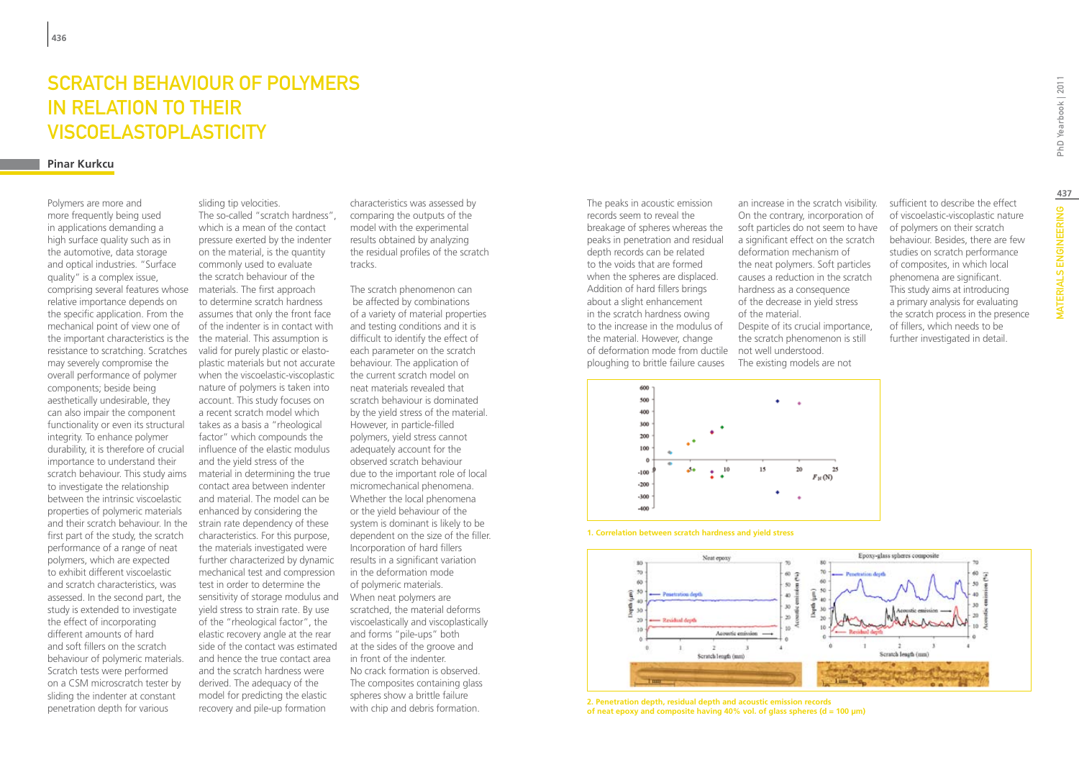## SCRATCH BEHAVIOUR OF POLYMERS IN RELATION TO THEIR VISCOELASTOPLASTICITY

#### **Pinar Kurkcu**

Polymers are more and more frequently being used in applications demanding a high surface quality such as in the automotive, data storage and optical industries. "Surface quality" is a complex issue, comprising several features whose relative importance depends on the specific application. From the mechanical point of view one of the important characteristics is the resistance to scratching. Scratches may severely compromise the overall performance of polymer components; beside being aesthetically undesirable, they can also impair the component functionality or even its structural integrity. To enhance polymer durability, it is therefore of crucial importance to understand their scratch behaviour. This study aims to investigate the relationship between the intrinsic viscoelastic properties of polymeric materials and their scratch behaviour. In the first part of the study, the scratch performance of a range of neat polymers, which are expected to exhibit different viscoelastic and scratch characteristics, was assessed. In the second part, the study is extended to investigate the effect of incorporating different amounts of hard and soft fillers on the scratch behaviour of polymeric materials. Scratch tests were performed on a CSM microscratch tester by sliding the indenter at constant penetration depth for various

sliding tip velocities. The so-called "scratch hardness", which is a mean of the contact pressure exerted by the indenter on the material, is the quantity commonly used to evaluate the scratch behaviour of the materials. The first approach to determine scratch hardness assumes that only the front face of the indenter is in contact with the material. This assumption is valid for purely plastic or elastoplastic materials but not accurate when the viscoelastic-viscoplastic nature of polymers is taken into account. This study focuses on a recent scratch model which takes as a basis a "rheological factor" which compounds the influence of the elastic modulus and the yield stress of the material in determining the true contact area between indenter and material. The model can be enhanced by considering the strain rate dependency of these characteristics. For this purpose, the materials investigated were further characterized by dynamic mechanical test and compression test in order to determine the sensitivity of storage modulus and yield stress to strain rate. By use of the "rheological factor", the elastic recovery angle at the rear side of the contact was estimated and hence the true contact area and the scratch hardness were derived. The adequacy of the model for predicting the elastic recovery and pile-up formation

characteristics was assessed by comparing the outputs of the model with the experimental results obtained by analyzing the residual profiles of the scratch tracks.

The scratch phenomenon can be affected by combinations of a variety of material properties and testing conditions and it is difficult to identify the effect of each parameter on the scratch behaviour. The application of the current scratch model on neat materials revealed that scratch behaviour is dominated by the yield stress of the material. However, in particle-filled polymers, yield stress cannot adequately account for the observed scratch behaviour due to the important role of local micromechanical phenomena. Whether the local phenomena or the yield behaviour of the system is dominant is likely to be dependent on the size of the filler. Incorporation of hard fillers results in a significant variation in the deformation mode of polymeric materials. When neat polymers are scratched, the material deforms viscoelastically and viscoplastically and forms "pile-ups" both at the sides of the groove and in front of the indenter. No crack formation is observed. The composites containing glass spheres show a brittle failure with chip and debris formation.

of deformation mode from ductile not well understood. The peaks in acoustic emission records seem to reveal the breakage of spheres whereas the peaks in penetration and residual depth records can be related to the voids that are formed when the spheres are displaced. Addition of hard fillers brings about a slight enhancement in the scratch hardness owing to the increase in the modulus of the material. However, change ploughing to brittle failure causes

an increase in the scratch visibility. On the contrary, incorporation of soft particles do not seem to have a significant effect on the scratch deformation mechanism of the neat polymers. Soft particles causes a reduction in the scratch hardness as a consequence of the decrease in yield stress of the material. Despite of its crucial importance, the scratch phenomenon is still The existing models are not



**1. Correlation between scratch hardness and yield stress**



**2. Penetration depth, residual depth and acoustic emission records of neat epoxy and composite having 40% vol. of glass spheres (d = 100 µm)** sufficient to describe the effect of viscoelastic-viscoplastic nature of polymers on their scratch behaviour. Besides, there are few studies on scratch performance of composites, in which local phenomena are significant. This study aims at introducing a primary analysis for evaluating the scratch process in the presence of fillers, which needs to be further investigated in detail.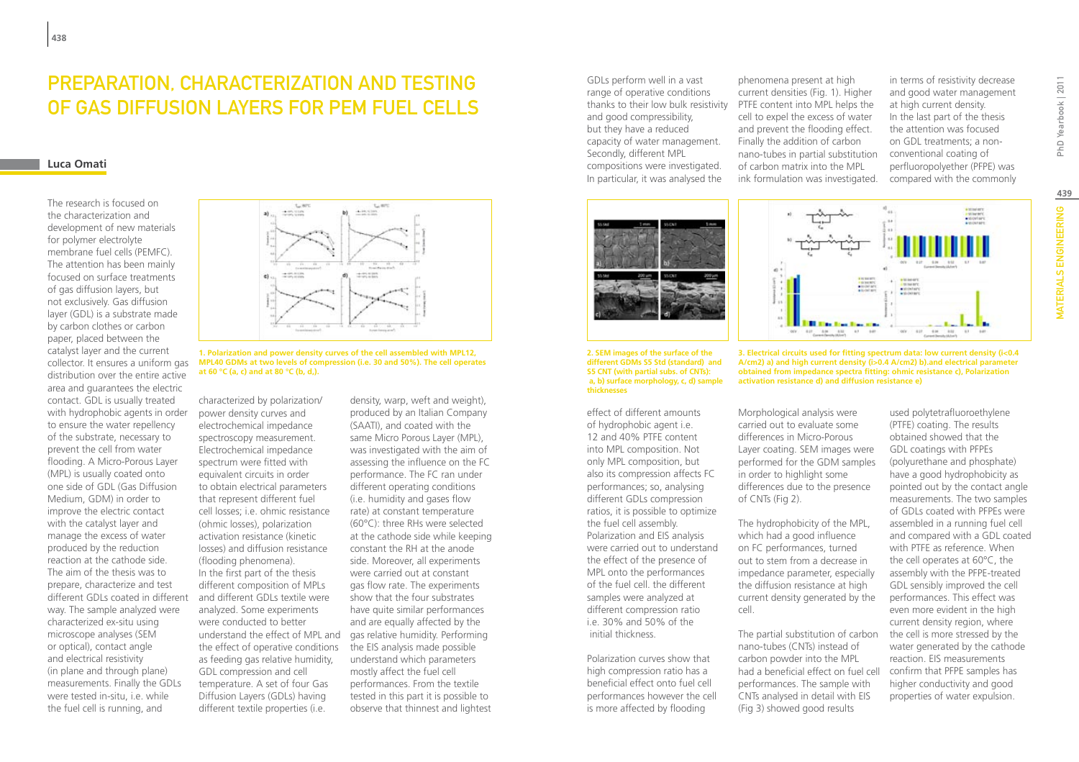### Preparation, characterization and testing of gas diffusion layers for PEM fuel cells

### **Luca Omati**

The research is focused on the characterization and development of new materials for polymer electrolyte membrane fuel cells (PEMFC). The attention has been mainly focused on surface treatments of gas diffusion layers, but not exclusively. Gas diffusion layer (GDL) is a substrate made by carbon clothes or carbon paper, placed between the catalyst layer and the current collector. It ensures a uniform gas distribution over the entire active area and guarantees the electric contact. GDL is usually treated with hydrophobic agents in order to ensure the water repellency of the substrate, necessary to prevent the cell from water flooding. A Micro-Porous Layer (MPL) is usually coated onto one side of GDL (Gas Diffusion Medium, GDM) in order to improve the electric contact with the catalyst layer and manage the excess of water produced by the reduction reaction at the cathode side. The aim of the thesis was to prepare, characterize and test different GDLs coated in different way. The sample analyzed were characterized ex-situ using microscope analyses (SEM or optical), contact angle and electrical resistivity (in plane and through plane) measurements. Finally the GDLs were tested in-situ, i.e. while the fuel cell is running, and



**1. Polarization and power density curves of the cell assembled with MPL12, MPL40 GDMs at two levels of compression (i.e. 30 and 50%). The cell operates at 60 °C (a, c) and at 80 °C (b, d,).**

characterized by polarization/ power density curves and electrochemical impedance spectroscopy measurement. Electrochemical impedance spectrum were fitted with equivalent circuits in order to obtain electrical parameters that represent different fuel cell losses; i.e. ohmic resistance (ohmic losses), polarization activation resistance (kinetic losses) and diffusion resistance (flooding phenomena). In the first part of the thesis different composition of MPLs and different GDLs textile were analyzed. Some experiments were conducted to better the effect of operative conditions as feeding gas relative humidity, GDL compression and cell temperature. A set of four Gas Diffusion Layers (GDLs) having different textile properties (i.e.

density, warp, weft and weight), produced by an Italian Company (SAATI), and coated with the same Micro Porous Layer (MPL), was investigated with the aim of assessing the influence on the FC performance. The FC ran under different operating conditions (i.e. humidity and gases flow rate) at constant temperature (60°C): three RHs were selected at the cathode side while keeping constant the RH at the anode side. Moreover, all experiments were carried out at constant gas flow rate. The experiments show that the four substrates have quite similar performances and are equally affected by the understand the effect of MPL and gas relative humidity. Performing the EIS analysis made possible understand which parameters mostly affect the fuel cell performances. From the textile tested in this part it is possible to observe that thinnest and lightest

thanks to their low bulk resistivity PTFE content into MPL helps the GDLs perform well in a vast range of operative conditions and good compressibility, but they have a reduced capacity of water management. Secondly, different MPL compositions were investigated. In particular, it was analysed the





effect of different amounts of hydrophobic agent i.e. 12 and 40% PTFE content into MPL composition. Not only MPL composition, but also its compression affects FC performances; so, analysing different GDLs compression ratios, it is possible to optimize the fuel cell assembly. Polarization and EIS analysis were carried out to understand the effect of the presence of MPL onto the performances of the fuel cell. the different samples were analyzed at different compression ratio i.e. 30% and 50% of the initial thickness.

Polarization curves show that high compression ratio has a beneficial effect onto fuel cell performances however the cell is more affected by flooding

phenomena present at high current densities (Fig. 1). Higher cell to expel the excess of water and prevent the flooding effect. Finally the addition of carbon nano-tubes in partial substitution of carbon matrix into the MPL ink formulation was investigated.

in terms of resistivity decrease and good water management at high current density. In the last part of the thesis the attention was focused on GDL treatments; a nonconventional coating of perfluoropolyether (PFPE) was compared with the commonly



**3. Electrical circuits used for fitting spectrum data: low current density (i<0.4 A/cm2) a) and high current density (i>0.4 A/cm2) b).and electrical parameter obtained from impedance spectra fitting: ohmic resistance c), Polarization activation resistance d) and diffusion resistance e)**

carried out to evaluate some differences in Micro-Porous in order to highlight some differences due to the presence of CNTs (Fig 2).

The hydrophobicity of the MPL, which had a good influence on FC performances, turned out to stem from a decrease in impedance parameter, especially the diffusion resistance at high current density generated by the cell.

The partial substitution of carbon nano-tubes (CNTs) instead of carbon powder into the MPL had a beneficial effect on fuel cell performances. The sample with CNTs analysed in detail with EIS (Fig 3) showed good results

used polytetrafluoroethylene (PTFE) coating. The results obtained showed that the GDL coatings with PFPEs (polyurethane and phosphate) have a good hydrophobicity as pointed out by the contact angle measurements. The two samples of GDLs coated with PFPEs were assembled in a running fuel cell and compared with a GDL coated with PTFE as reference. When the cell operates at 60°C, the assembly with the PFPE-treated GDL sensibly improved the cell performances. This effect was even more evident in the high current density region, where the cell is more stressed by the water generated by the cathode reaction. EIS measurements confirm that PFPE samples has higher conductivity and good properties of water expulsion.

**439**

*MATERIALS ENGINEERING* 

Morphological analysis were Layer coating. SEM images were performed for the GDM samples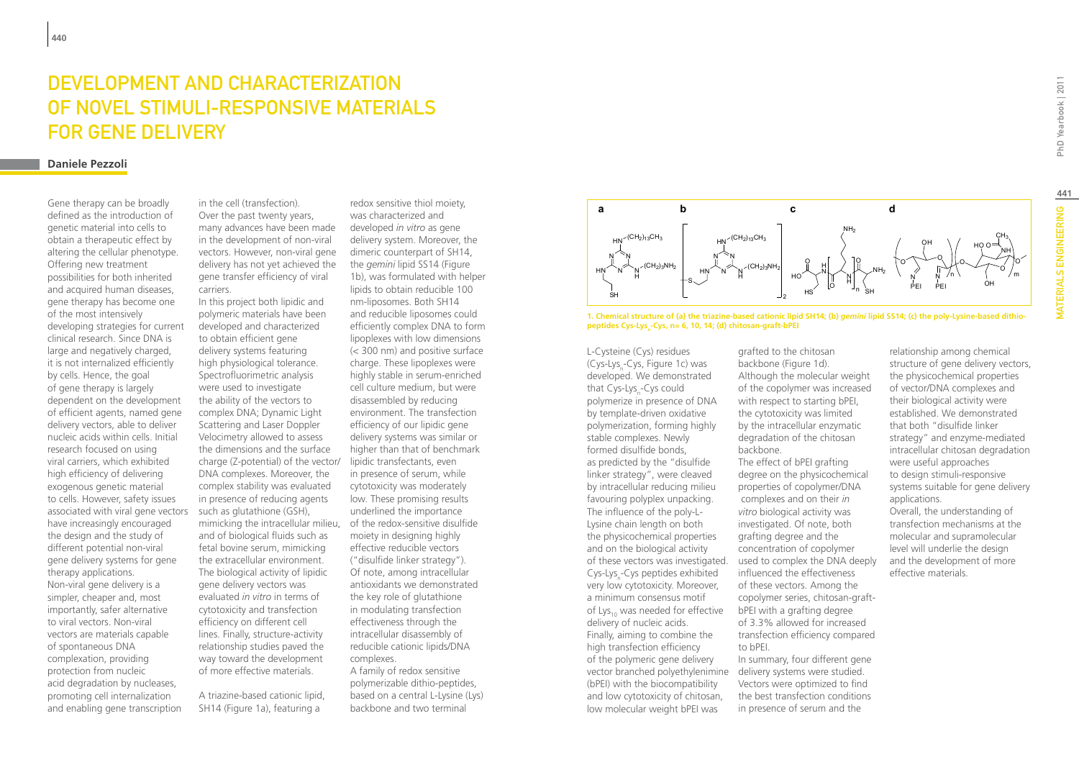# Development and Characterization of Novel Stimuli-Responsive Materials for Gene Delivery

#### **Daniele Pezzoli**

Gene therapy can be broadly defined as the introduction of genetic material into cells to obtain a therapeutic effect by altering the cellular phenotype. Offering new treatment possibilities for both inherited and acquired human diseases, gene therapy has become one of the most intensively developing strategies for current clinical research. Since DNA is large and negatively charged, it is not internalized efficiently by cells. Hence, the goal of gene therapy is largely dependent on the development of efficient agents, named gene delivery vectors, able to deliver nucleic acids within cells. Initial research focused on using viral carriers, which exhibited high efficiency of delivering exogenous genetic material to cells. However, safety issues associated with viral gene vectors have increasingly encouraged the design and the study of different potential non-viral gene delivery systems for gene therapy applications. Non-viral gene delivery is a simpler, cheaper and, most importantly, safer alternative to viral vectors. Non-viral vectors are materials capable of spontaneous DNA complexation, providing protection from nucleic acid degradation by nucleases, promoting cell internalization and enabling gene transcription

in the cell (transfection). Over the past twenty years, many advances have been made in the development of non-viral vectors. However, non-viral gene delivery has not yet achieved the gene transfer efficiency of viral carriers.

charge (Z-potential) of the vector/ lipidic transfectants, even mimicking the intracellular milieu, of the redox-sensitive disulfide In this project both lipidic and polymeric materials have been developed and characterized to obtain efficient gene delivery systems featuring high physiological tolerance. Spectrofluorimetric analysis were used to investigate the ability of the vectors to complex DNA; Dynamic Light Scattering and Laser Doppler Velocimetry allowed to assess the dimensions and the surface DNA complexes. Moreover, the complex stability was evaluated in presence of reducing agents such as glutathione (GSH), and of biological fluids such as fetal bovine serum, mimicking the extracellular environment. The biological activity of lipidic gene delivery vectors was evaluated *in vitro* in terms of cytotoxicity and transfection efficiency on different cell lines. Finally, structure-activity relationship studies paved the way toward the development of more effective materials.

A triazine-based cationic lipid, SH14 (Figure 1a), featuring a

redox sensitive thiol moiety, was characterized and developed *in vitro* as gene delivery system. Moreover, the dimeric counterpart of SH14, the *gemini* lipid SS14 (Figure 1b), was formulated with helper lipids to obtain reducible 100 nm-liposomes. Both SH14 and reducible liposomes could efficiently complex DNA to form lipoplexes with low dimensions (< 300 nm) and positive surface charge. These lipoplexes were highly stable in serum-enriched cell culture medium, but were disassembled by reducing environment. The transfection efficiency of our lipidic gene delivery systems was similar or higher than that of benchmark in presence of serum, while cytotoxicity was moderately low. These promising results underlined the importance moiety in designing highly effective reducible vectors ("disulfide linker strategy"). Of note, among intracellular antioxidants we demonstrated the key role of glutathione in modulating transfection effectiveness through the intracellular disassembly of reducible cationic lipids/DNA complexes. A family of redox sensitive polymerizable dithio-peptides,

based on a central L-Lysine (Lys) backbone and two terminal



**1. Chemical structure of (a) the triazine-based cationic lipid SH14; (b)** *gemini* **lipid SS14; (c) the poly-Lysine-based dithio**peptides Cys-Lys<sub>n</sub>-Cys, n= 6, 10, 14; (d) chitosan-graft-bPEI

of these vectors was investigated. used to complex the DNA deeply vector branched polyethylenimine delivery systems were studied. L-Cysteine (Cys) residues (Cys-Lys<sub>n</sub>-Cys, Figure 1c) was developed. We demonstrated that Cys-Lys<sub>n</sub>-Cys could polymerize in presence of DNA by template-driven oxidative polymerization, forming highly stable complexes. Newly formed disulfide bonds, as predicted by the "disulfide linker strategy", were cleaved by intracellular reducing milieu favouring polyplex unpacking. The influence of the poly-L-Lysine chain length on both the physicochemical properties and on the biological activity Cys-Lys<sub>n</sub>-Cys peptides exhibited very low cytotoxicity. Moreover, a minimum consensus motif of Lys<sub>10</sub> was needed for effective delivery of nucleic acids. Finally, aiming to combine the high transfection efficiency of the polymeric gene delivery (bPEI) with the biocompatibility and low cytotoxicity of chitosan, low molecular weight bPEI was

grafted to the chitosan backbone (Figure 1d). Although the molecular weight of the copolymer was increased with respect to starting bPEI, the cytotoxicity was limited by the intracellular enzymatic degradation of the chitosan backbone. The effect of bPEI grafting degree on the physicochemical properties of copolymer/DNA complexes and on their *in vitro* biological activity was investigated. Of note, both grafting degree and the concentration of copolymer influenced the effectiveness of these vectors. Among the copolymer series, chitosan-graftbPEI with a grafting degree of 3.3% allowed for increased transfection efficiency compared to bPEI. In summary, four different gene Vectors were optimized to find

the best transfection conditions in presence of serum and the

relationship among chemical structure of gene delivery vectors, the physicochemical properties of vector/DNA complexes and their biological activity were established. We demonstrated that both "disulfide linker strategy" and enzyme-mediated intracellular chitosan degradation were useful approaches to design stimuli-responsive systems suitable for gene delivery applications. Overall, the understanding of transfection mechanisms at the molecular and supramolecular level will underlie the design and the development of more effective materials.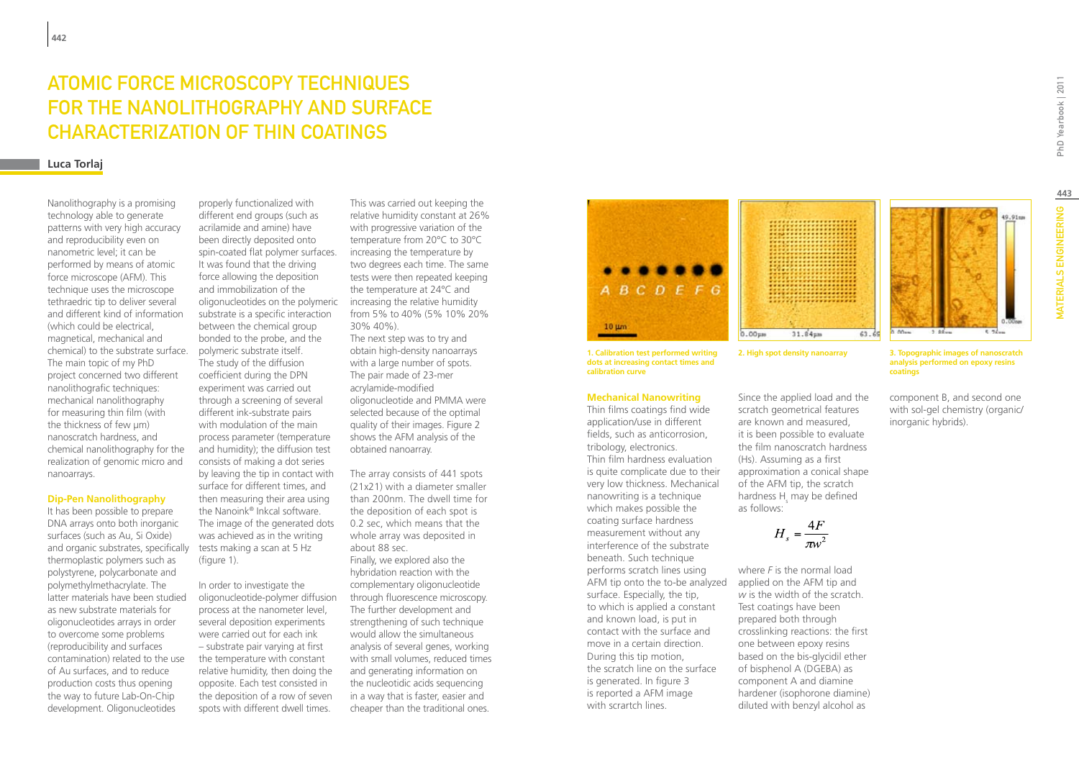# Atomic Force Microscopy Techniques for the Nanolithography and Surface Characterization of Thin Coatings

### **Luca Torlaj**

Nanolithography is a promising technology able to generate patterns with very high accuracy and reproducibility even on nanometric level; it can be performed by means of atomic force microscope (AFM). This technique uses the microscope tethraedric tip to deliver several and different kind of information (which could be electrical, magnetical, mechanical and chemical) to the substrate surface. The main topic of my PhD project concerned two different nanolithografic techniques: mechanical nanolithography for measuring thin film (with the thickness of few µm) nanoscratch hardness, and chemical nanolithography for the realization of genomic micro and nanoarrays.

#### **Dip-Pen Nanolithography**

It has been possible to prepare DNA arrays onto both inorganic surfaces (such as Au, Si Oxide) and organic substrates, specifically thermoplastic polymers such as polystyrene, polycarbonate and polymethylmethacrylate. The latter materials have been studied as new substrate materials for oligonucleotides arrays in order to overcome some problems (reproducibility and surfaces contamination) related to the use of Au surfaces, and to reduce production costs thus opening the way to future Lab-On-Chip development. Oligonucleotides

oligonucleotides on the polymeric increasing the relative humidity properly functionalized with different end groups (such as acrilamide and amine) have been directly deposited onto spin-coated flat polymer surfaces. It was found that the driving force allowing the deposition and immobilization of the substrate is a specific interaction between the chemical group bonded to the probe, and the polymeric substrate itself. The study of the diffusion coefficient during the DPN experiment was carried out through a screening of several different ink-substrate pairs with modulation of the main process parameter (temperature and humidity); the diffusion test consists of making a dot series by leaving the tip in contact with surface for different times, and then measuring their area using the Nanoink® Inkcal software. The image of the generated dots was achieved as in the writing tests making a scan at 5 Hz (figure 1).

In order to investigate the oligonucleotide-polymer diffusion process at the nanometer level, several deposition experiments were carried out for each ink – substrate pair varying at first the temperature with constant relative humidity, then doing the opposite. Each test consisted in the deposition of a row of seven spots with different dwell times.

This was carried out keeping the relative humidity constant at 26% with progressive variation of the temperature from 20°C to 30°C increasing the temperature by two degrees each time. The same tests were then repeated keeping the temperature at 24°C and from 5% to 40% (5% 10% 20% 30% 40%). The next step was to try and obtain high-density nanoarrays with a large number of spots. The pair made of 23-mer acrylamide-modified oligonucleotide and PMMA were selected because of the optimal quality of their images. Figure 2 shows the AFM analysis of the obtained nanoarray.

The array consists of 441 spots (21x21) with a diameter smaller than 200nm. The dwell time for the deposition of each spot is 0.2 sec, which means that the whole array was deposited in about 88 sec. Finally, we explored also the hybridation reaction with the complementary oligonucleotide through fluorescence microscopy. The further development and strengthening of such technique would allow the simultaneous analysis of several genes, working with small volumes, reduced times and generating information on the nucleotidic acids sequencing in a way that is faster, easier and cheaper than the traditional ones.



**1. Calibration test performed writing dots at increasing contact times and calibration curve**

#### **Mechanical Nanowriting**

Thin films coatings find wide application/use in different fields, such as anticorrosion, tribology, electronics. Thin film hardness evaluation is quite complicate due to their very low thickness. Mechanical nanowriting is a technique which makes possible the coating surface hardness measurement without any interference of the substrate beneath. Such technique performs scratch lines using AFM tip onto the to-be analyzed surface. Especially, the tip, to which is applied a constant and known load, is put in contact with the surface and move in a certain direction. During this tip motion, the scratch line on the surface is generated. In figure 3 is reported a AFM image with scrartch lines.



Since the applied load and the scratch geometrical features are known and measured, it is been possible to evaluate the film nanoscratch hardness (Hs). Assuming as a first approximation a conical shape of the AFM tip, the scratch hardness  $H_s$  may be defined

where *F* is the normal load applied on the AFM tip and *w* is the width of the scratch. Test coatings have been prepared both through crosslinking reactions: the first one between epoxy resins based on the bis-glycidil ether of bisphenol A (DGEBA) as component A and diamine hardener (isophorone diamine) diluted with benzyl alcohol as

 $H_s = \frac{4F}{\pi r^2}$ 

as follows:

 $00 2.95...$ 

**2. High spot density nanoarray 3. Topographic images of nanoscratch analysis performed on epoxy resins coatings**

> component B, and second one with sol-gel chemistry (organic/ inorganic hybrids).

49.91mm

**443**

PhD Yearbook | 2011